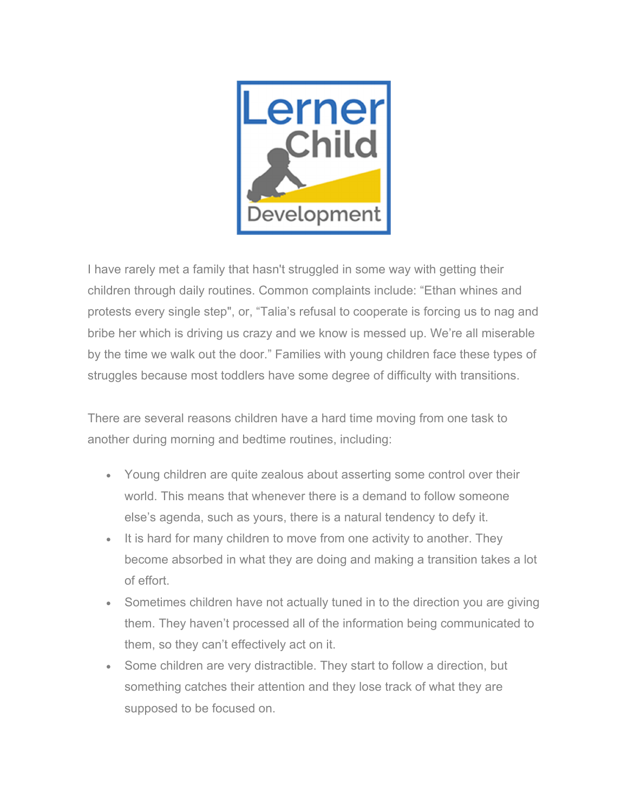

I have rarely met a family that hasn't struggled in some way with getting their children through daily routines. Common complaints include: "Ethan whines and protests every single step", or, "Talia's refusal to cooperate is forcing us to nag and bribe her which is driving us crazy and we know is messed up. We're all miserable by the time we walk out the door." Families with young children face these types of struggles because most toddlers have some degree of difficulty with transitions.

There are several reasons children have a hard time moving from one task to another during morning and bedtime routines, including:

- Young children are quite zealous about asserting some control over their world. This means that whenever there is a demand to follow someone else's agenda, such as yours, there is a natural tendency to defy it.
- It is hard for many children to move from one activity to another. They become absorbed in what they are doing and making a transition takes a lot of effort.
- Sometimes children have not actually tuned in to the direction you are giving them. They haven't processed all of the information being communicated to them, so they can't effectively act on it.
- Some children are very distractible. They start to follow a direction, but something catches their attention and they lose track of what they are supposed to be focused on.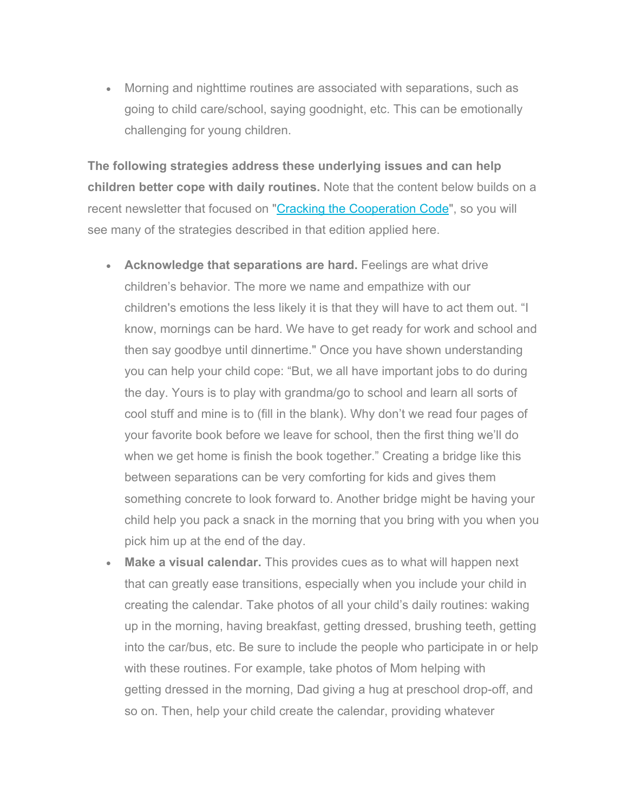Morning and nighttime routines are associated with separations, such as going to child care/school, saying goodnight, etc. This can be emotionally challenging for young children.

**The following strategies address these underlying issues and can help children better cope with daily routines.** Note that the content below builds on a recent newsletter that focused on "Cracking the Cooperation Code", so you will see many of the strategies described in that edition applied here.

- **Acknowledge that separations are hard.** Feelings are what drive children's behavior. The more we name and empathize with our children's emotions the less likely it is that they will have to act them out. "I know, mornings can be hard. We have to get ready for work and school and then say goodbye until dinnertime." Once you have shown understanding you can help your child cope: "But, we all have important jobs to do during the day. Yours is to play with grandma/go to school and learn all sorts of cool stuff and mine is to (fill in the blank). Why don't we read four pages of your favorite book before we leave for school, then the first thing we'll do when we get home is finish the book together." Creating a bridge like this between separations can be very comforting for kids and gives them something concrete to look forward to. Another bridge might be having your child help you pack a snack in the morning that you bring with you when you pick him up at the end of the day.
- **Make a visual calendar.** This provides cues as to what will happen next that can greatly ease transitions, especially when you include your child in creating the calendar. Take photos of all your child's daily routines: waking up in the morning, having breakfast, getting dressed, brushing teeth, getting into the car/bus, etc. Be sure to include the people who participate in or help with these routines. For example, take photos of Mom helping with getting dressed in the morning, Dad giving a hug at preschool drop-off, and so on. Then, help your child create the calendar, providing whatever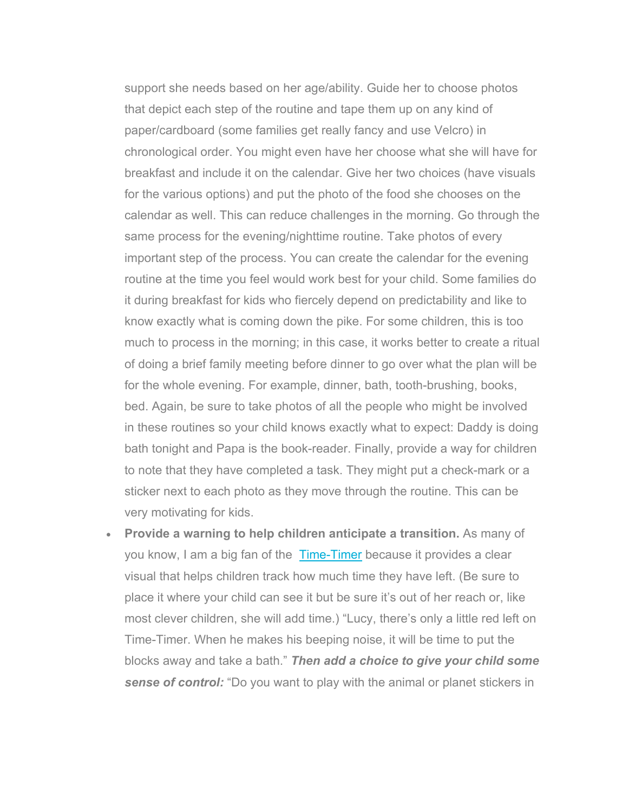support she needs based on her age/ability. Guide her to choose photos that depict each step of the routine and tape them up on any kind of paper/cardboard (some families get really fancy and use Velcro) in chronological order. You might even have her choose what she will have for breakfast and include it on the calendar. Give her two choices (have visuals for the various options) and put the photo of the food she chooses on the calendar as well. This can reduce challenges in the morning. Go through the same process for the evening/nighttime routine. Take photos of every important step of the process. You can create the calendar for the evening routine at the time you feel would work best for your child. Some families do it during breakfast for kids who fiercely depend on predictability and like to know exactly what is coming down the pike. For some children, this is too much to process in the morning; in this case, it works better to create a ritual of doing a brief family meeting before dinner to go over what the plan will be for the whole evening. For example, dinner, bath, tooth-brushing, books, bed. Again, be sure to take photos of all the people who might be involved in these routines so your child knows exactly what to expect: Daddy is doing bath tonight and Papa is the book-reader. Finally, provide a way for children to note that they have completed a task. They might put a check-mark or a sticker next to each photo as they move through the routine. This can be very motivating for kids.

 **Provide a warning to help children anticipate a transition.** As many of you know, I am a big fan of the Time-Timer because it provides a clear visual that helps children track how much time they have left. (Be sure to place it where your child can see it but be sure it's out of her reach or, like most clever children, she will add time.) "Lucy, there's only a little red left on Time-Timer. When he makes his beeping noise, it will be time to put the blocks away and take a bath." *Then add a choice to give your child some sense of control:* "Do you want to play with the animal or planet stickers in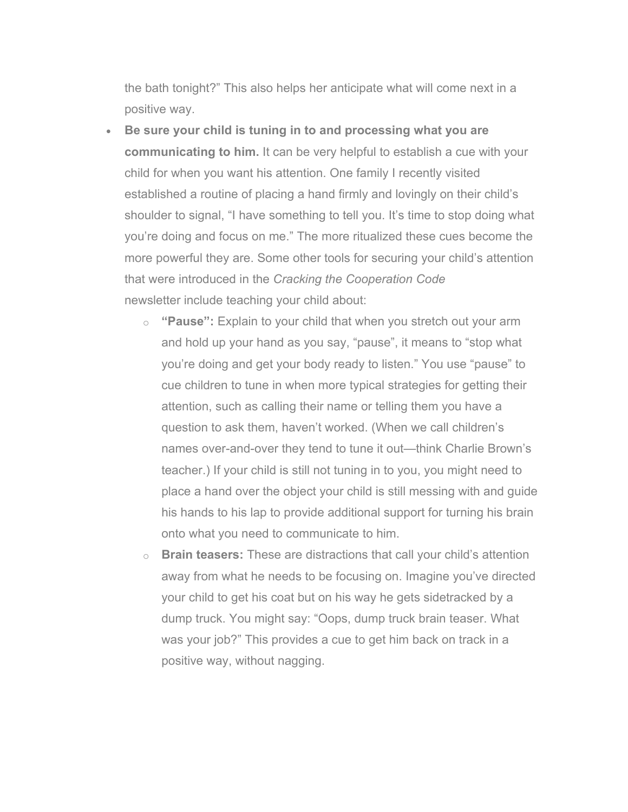the bath tonight?" This also helps her anticipate what will come next in a positive way.

- **Be sure your child is tuning in to and processing what you are communicating to him.** It can be very helpful to establish a cue with your child for when you want his attention. One family I recently visited established a routine of placing a hand firmly and lovingly on their child's shoulder to signal, "I have something to tell you. It's time to stop doing what you're doing and focus on me." The more ritualized these cues become the more powerful they are. Some other tools for securing your child's attention that were introduced in the *Cracking the Cooperation Code* newsletter include teaching your child about:
	- o **"Pause":** Explain to your child that when you stretch out your arm and hold up your hand as you say, "pause", it means to "stop what you're doing and get your body ready to listen." You use "pause" to cue children to tune in when more typical strategies for getting their attention, such as calling their name or telling them you have a question to ask them, haven't worked. (When we call children's names over-and-over they tend to tune it out—think Charlie Brown's teacher.) If your child is still not tuning in to you, you might need to place a hand over the object your child is still messing with and guide his hands to his lap to provide additional support for turning his brain onto what you need to communicate to him.
	- o **Brain teasers:** These are distractions that call your child's attention away from what he needs to be focusing on. Imagine you've directed your child to get his coat but on his way he gets sidetracked by a dump truck. You might say: "Oops, dump truck brain teaser. What was your job?" This provides a cue to get him back on track in a positive way, without nagging.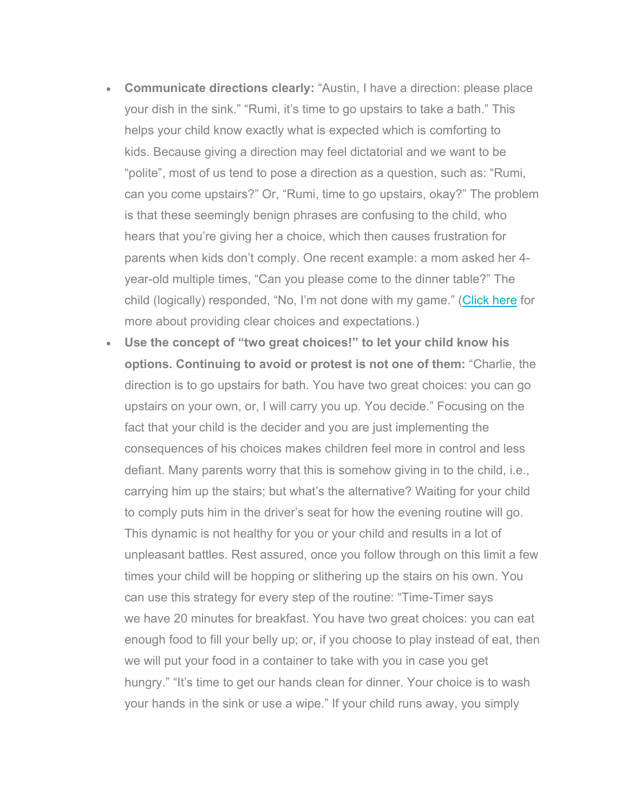- **Communicate directions clearly:** "Austin, I have a direction: please place your dish in the sink." "Rumi, it's time to go upstairs to take a bath." This helps your child know exactly what is expected which is comforting to kids. Because giving a direction may feel dictatorial and we want to be "polite", most of us tend to pose a direction as a question, such as: "Rumi, can you come upstairs?" Or, "Rumi, time to go upstairs, okay?" The problem is that these seemingly benign phrases are confusing to the child, who hears that you're giving her a choice, which then causes frustration for parents when kids don't comply. One recent example: a mom asked her 4 year-old multiple times, "Can you please come to the dinner table?" The child (logically) responded, "No, I'm not done with my game." (Click here for more about providing clear choices and expectations.)
- **Use the concept of "two great choices!" to let your child know his options. Continuing to avoid or protest is not one of them:** "Charlie, the direction is to go upstairs for bath. You have two great choices: you can go upstairs on your own, or, I will carry you up. You decide." Focusing on the fact that your child is the decider and you are just implementing the consequences of his choices makes children feel more in control and less defiant. Many parents worry that this is somehow giving in to the child, i.e., carrying him up the stairs; but what's the alternative? Waiting for your child to comply puts him in the driver's seat for how the evening routine will go. This dynamic is not healthy for you or your child and results in a lot of unpleasant battles. Rest assured, once you follow through on this limit a few times your child will be hopping or slithering up the stairs on his own. You can use this strategy for every step of the routine: "Time-Timer says we have 20 minutes for breakfast. You have two great choices: you can eat enough food to fill your belly up; or, if you choose to play instead of eat, then we will put your food in a container to take with you in case you get hungry." "It's time to get our hands clean for dinner. Your choice is to wash your hands in the sink or use a wipe." If your child runs away, you simply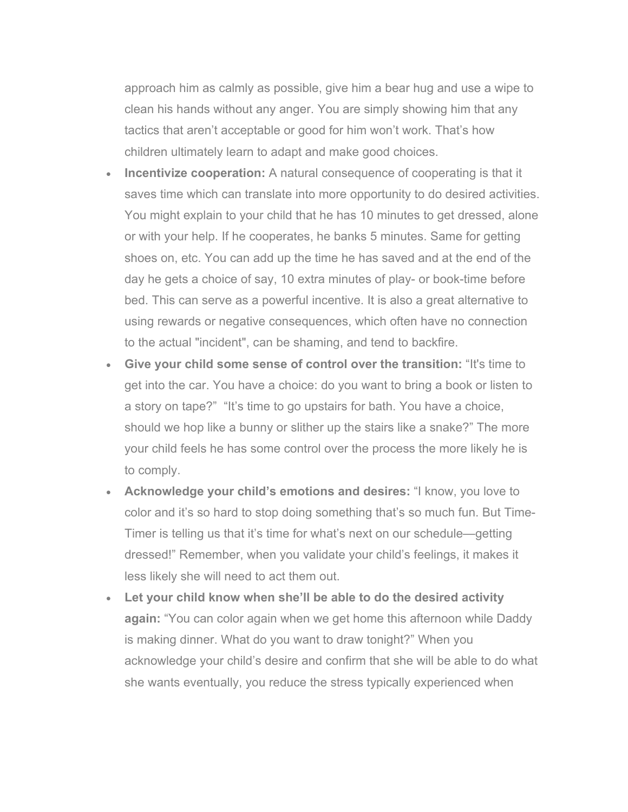approach him as calmly as possible, give him a bear hug and use a wipe to clean his hands without any anger. You are simply showing him that any tactics that aren't acceptable or good for him won't work. That's how children ultimately learn to adapt and make good choices.

- **Incentivize cooperation:** A natural consequence of cooperating is that it saves time which can translate into more opportunity to do desired activities. You might explain to your child that he has 10 minutes to get dressed, alone or with your help. If he cooperates, he banks 5 minutes. Same for getting shoes on, etc. You can add up the time he has saved and at the end of the day he gets a choice of say, 10 extra minutes of play- or book-time before bed. This can serve as a powerful incentive. It is also a great alternative to using rewards or negative consequences, which often have no connection to the actual "incident", can be shaming, and tend to backfire.
- **Give your child some sense of control over the transition:** "It's time to get into the car. You have a choice: do you want to bring a book or listen to a story on tape?" "It's time to go upstairs for bath. You have a choice, should we hop like a bunny or slither up the stairs like a snake?" The more your child feels he has some control over the process the more likely he is to comply.
- **Acknowledge your child's emotions and desires:** "I know, you love to color and it's so hard to stop doing something that's so much fun. But Time-Timer is telling us that it's time for what's next on our schedule—getting dressed!" Remember, when you validate your child's feelings, it makes it less likely she will need to act them out.
- **Let your child know when she'll be able to do the desired activity again:** "You can color again when we get home this afternoon while Daddy is making dinner. What do you want to draw tonight?" When you acknowledge your child's desire and confirm that she will be able to do what she wants eventually, you reduce the stress typically experienced when